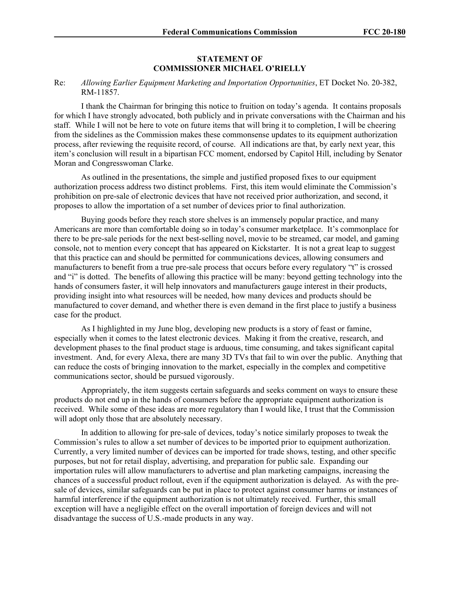## **STATEMENT OF COMMISSIONER MICHAEL O'RIELLY**

## Re: *Allowing Earlier Equipment Marketing and Importation Opportunities*, ET Docket No. 20-382, RM-11857.

I thank the Chairman for bringing this notice to fruition on today's agenda. It contains proposals for which I have strongly advocated, both publicly and in private conversations with the Chairman and his staff. While I will not be here to vote on future items that will bring it to completion, I will be cheering from the sidelines as the Commission makes these commonsense updates to its equipment authorization process, after reviewing the requisite record, of course. All indications are that, by early next year, this item's conclusion will result in a bipartisan FCC moment, endorsed by Capitol Hill, including by Senator Moran and Congresswoman Clarke.

As outlined in the presentations, the simple and justified proposed fixes to our equipment authorization process address two distinct problems. First, this item would eliminate the Commission's prohibition on pre-sale of electronic devices that have not received prior authorization, and second, it proposes to allow the importation of a set number of devices prior to final authorization.

Buying goods before they reach store shelves is an immensely popular practice, and many Americans are more than comfortable doing so in today's consumer marketplace. It's commonplace for there to be pre-sale periods for the next best-selling novel, movie to be streamed, car model, and gaming console, not to mention every concept that has appeared on Kickstarter. It is not a great leap to suggest that this practice can and should be permitted for communications devices, allowing consumers and manufacturers to benefit from a true pre-sale process that occurs before every regulatory "t" is crossed and "i" is dotted. The benefits of allowing this practice will be many: beyond getting technology into the hands of consumers faster, it will help innovators and manufacturers gauge interest in their products, providing insight into what resources will be needed, how many devices and products should be manufactured to cover demand, and whether there is even demand in the first place to justify a business case for the product.

As I highlighted in my June blog, developing new products is a story of feast or famine, especially when it comes to the latest electronic devices. Making it from the creative, research, and development phases to the final product stage is arduous, time consuming, and takes significant capital investment. And, for every Alexa, there are many 3D TVs that fail to win over the public. Anything that can reduce the costs of bringing innovation to the market, especially in the complex and competitive communications sector, should be pursued vigorously.

Appropriately, the item suggests certain safeguards and seeks comment on ways to ensure these products do not end up in the hands of consumers before the appropriate equipment authorization is received. While some of these ideas are more regulatory than I would like, I trust that the Commission will adopt only those that are absolutely necessary.

In addition to allowing for pre-sale of devices, today's notice similarly proposes to tweak the Commission's rules to allow a set number of devices to be imported prior to equipment authorization. Currently, a very limited number of devices can be imported for trade shows, testing, and other specific purposes, but not for retail display, advertising, and preparation for public sale. Expanding our importation rules will allow manufacturers to advertise and plan marketing campaigns, increasing the chances of a successful product rollout, even if the equipment authorization is delayed. As with the presale of devices, similar safeguards can be put in place to protect against consumer harms or instances of harmful interference if the equipment authorization is not ultimately received. Further, this small exception will have a negligible effect on the overall importation of foreign devices and will not disadvantage the success of U.S.-made products in any way.